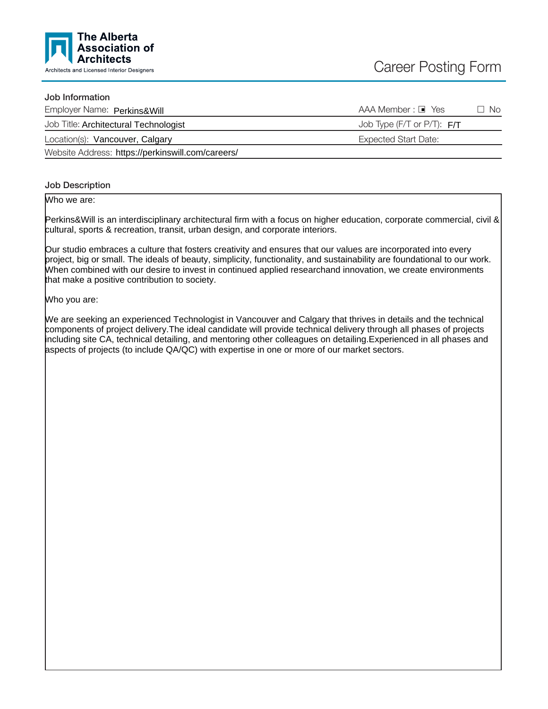

### Job Information

| Employer Name: Perkins&Will                       | $AAA$ Member : $\blacksquare$ Yes | □ No |
|---------------------------------------------------|-----------------------------------|------|
| Job Title: Architectural Technologist             | Job Type (F/T or P/T): $F/T$      |      |
| Location(s): Vancouver, Calgary                   | Expected Start Date:              |      |
| Website Address: https://perkinswill.com/careers/ |                                   |      |

Job Description

Who we are:

Perkins&Will is an interdisciplinary architectural firm with a focus on higher education, corporate commercial, civil & cultural, sports & recreation, transit, urban design, and corporate interiors.

Our studio embraces a culture that fosters creativity and ensures that our values are incorporated into every project, big or small. The ideals of beauty, simplicity, functionality, and sustainability are foundational to our work. When combined with our desire to invest in continued applied researchand innovation, we create environments that make a positive contribution to society.

Who you are:

We are seeking an experienced Technologist in Vancouver and Calgary that thrives in details and the technical components of project delivery.The ideal candidate will provide technical delivery through all phases of projects including site CA, technical detailing, and mentoring other colleagues on detailing.Experienced in all phases and aspects of projects (to include QA/QC) with expertise in one or more of our market sectors.